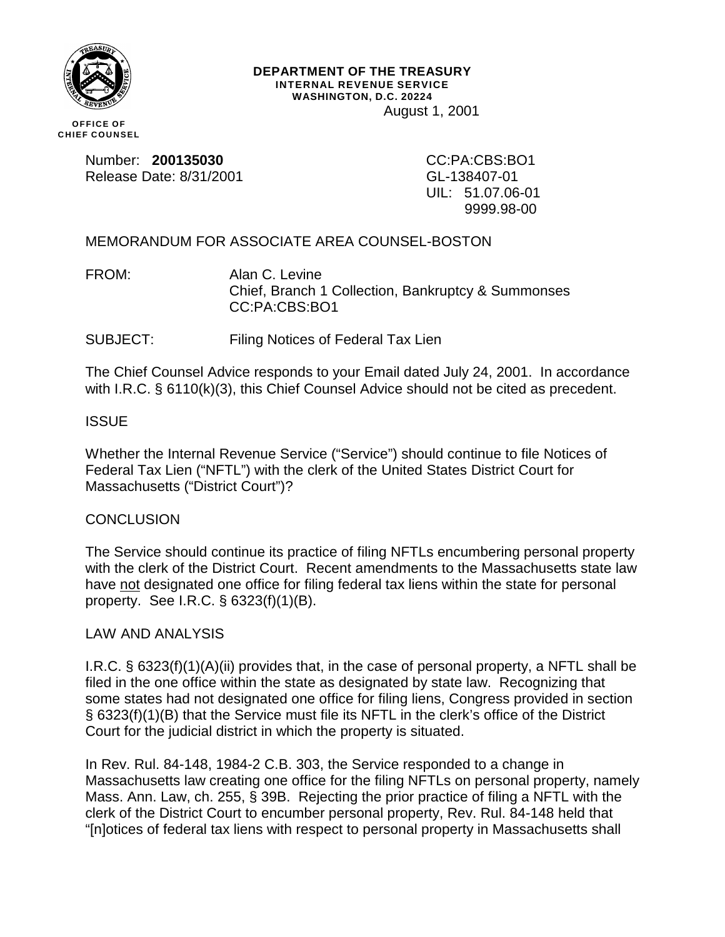

#### **DEPARTMENT OF THE TREASURY INTERNAL REVENUE SERVICE WASHINGTON, D.C. 20224** August 1, 2001

**OFFICE OF CHIEF COUNSEL**

> Number: **200135030**<br>
> Release Date: 8/31/2001<br>
> GL-138407-01 Release Date: 8/31/2001

UIL: 51.07.06-01 9999.98-00

# MEMORANDUM FOR ASSOCIATE AREA COUNSEL-BOSTON

FROM: Alan C. Levine Chief, Branch 1 Collection, Bankruptcy & Summonses CC:PA:CBS:BO1

SUBJECT: Filing Notices of Federal Tax Lien

The Chief Counsel Advice responds to your Email dated July 24, 2001. In accordance with I.R.C. § 6110(k)(3), this Chief Counsel Advice should not be cited as precedent.

## ISSUE

Whether the Internal Revenue Service ("Service") should continue to file Notices of Federal Tax Lien ("NFTL") with the clerk of the United States District Court for Massachusetts ("District Court")?

### **CONCLUSION**

The Service should continue its practice of filing NFTLs encumbering personal property with the clerk of the District Court. Recent amendments to the Massachusetts state law have not designated one office for filing federal tax liens within the state for personal property. See I.R.C. § 6323(f)(1)(B).

### LAW AND ANALYSIS

I.R.C. § 6323(f)(1)(A)(ii) provides that, in the case of personal property, a NFTL shall be filed in the one office within the state as designated by state law. Recognizing that some states had not designated one office for filing liens, Congress provided in section § 6323(f)(1)(B) that the Service must file its NFTL in the clerk's office of the District Court for the judicial district in which the property is situated.

In Rev. Rul. 84-148, 1984-2 C.B. 303, the Service responded to a change in Massachusetts law creating one office for the filing NFTLs on personal property, namely Mass. Ann. Law, ch. 255, § 39B. Rejecting the prior practice of filing a NFTL with the clerk of the District Court to encumber personal property, Rev. Rul. 84-148 held that "[n]otices of federal tax liens with respect to personal property in Massachusetts shall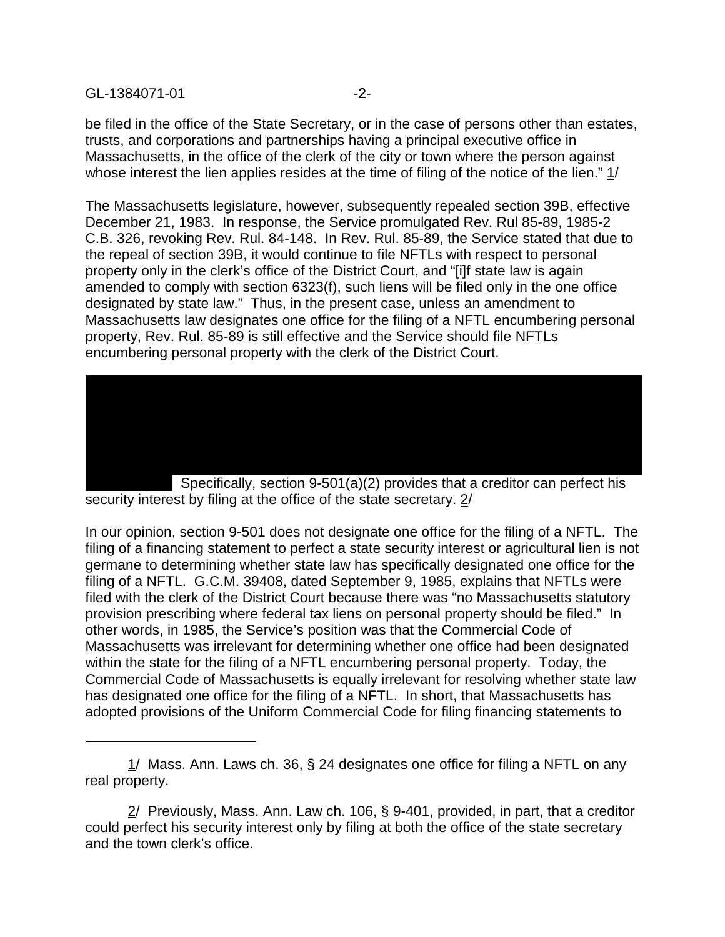#### GL-1384071-01 - 2-

be filed in the office of the State Secretary, or in the case of persons other than estates, trusts, and corporations and partnerships having a principal executive office in Massachusetts, in the office of the clerk of the city or town where the person against whose interest the lien applies resides at the time of filing of the notice of the lien." 1/

The Massachusetts legislature, however, subsequently repealed section 39B, effective December 21, 1983. In response, the Service promulgated Rev. Rul 85-89, 1985-2 C.B. 326, revoking Rev. Rul. 84-148. In Rev. Rul. 85-89, the Service stated that due to the repeal of section 39B, it would continue to file NFTLs with respect to personal property only in the clerk's office of the District Court, and "[i]f state law is again amended to comply with section 6323(f), such liens will be filed only in the one office designated by state law." Thus, in the present case, unless an amendment to Massachusetts law designates one office for the filing of a NFTL encumbering personal property, Rev. Rul. 85-89 is still effective and the Service should file NFTLs encumbering personal property with the clerk of the District Court.



security interest by filing at the office of the state secretary. 2/

In our opinion, section 9-501 does not designate one office for the filing of a NFTL. The filing of a financing statement to perfect a state security interest or agricultural lien is not germane to determining whether state law has specifically designated one office for the filing of a NFTL. G.C.M. 39408, dated September 9, 1985, explains that NFTLs were filed with the clerk of the District Court because there was "no Massachusetts statutory provision prescribing where federal tax liens on personal property should be filed." In other words, in 1985, the Service's position was that the Commercial Code of Massachusetts was irrelevant for determining whether one office had been designated within the state for the filing of a NFTL encumbering personal property. Today, the Commercial Code of Massachusetts is equally irrelevant for resolving whether state law has designated one office for the filing of a NFTL. In short, that Massachusetts has adopted provisions of the Uniform Commercial Code for filing financing statements to

<sup>1/</sup> Mass. Ann. Laws ch. 36, § 24 designates one office for filing a NFTL on any real property.

 $2/$  Previously, Mass. Ann. Law ch. 106, § 9-401, provided, in part, that a creditor could perfect his security interest only by filing at both the office of the state secretary and the town clerk's office.